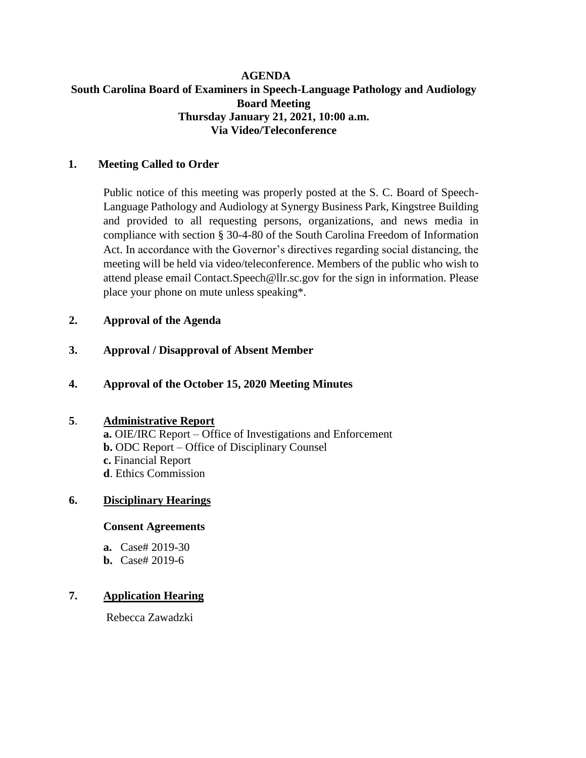### **AGENDA South Carolina Board of Examiners in Speech-Language Pathology and Audiology Board Meeting Thursday January 21, 2021, 10:00 a.m. Via Video/Teleconference**

### **1. Meeting Called to Order**

Public notice of this meeting was properly posted at the S. C. Board of Speech-Language Pathology and Audiology at Synergy Business Park, Kingstree Building and provided to all requesting persons, organizations, and news media in compliance with section § 30-4-80 of the South Carolina Freedom of Information Act. In accordance with the Governor's directives regarding social distancing, the meeting will be held via video/teleconference. Members of the public who wish to attend please email Contact.Speech@llr.sc.gov for the sign in information. Please place your phone on mute unless speaking\*.

# **2. Approval of the Agenda**

**3. Approval / Disapproval of Absent Member**

## **4. Approval of the October 15, 2020 Meeting Minutes**

### **5**. **Administrative Report**

**a.** OIE/IRC Report – Office of Investigations and Enforcement **b.** ODC Report – Office of Disciplinary Counsel **c.** Financial Report **d**. Ethics Commission

### **6. Disciplinary Hearings**

#### **Consent Agreements**

- **a.** Case# 2019-30
- **b.** Case# 2019-6

# **7. Application Hearing**

Rebecca Zawadzki